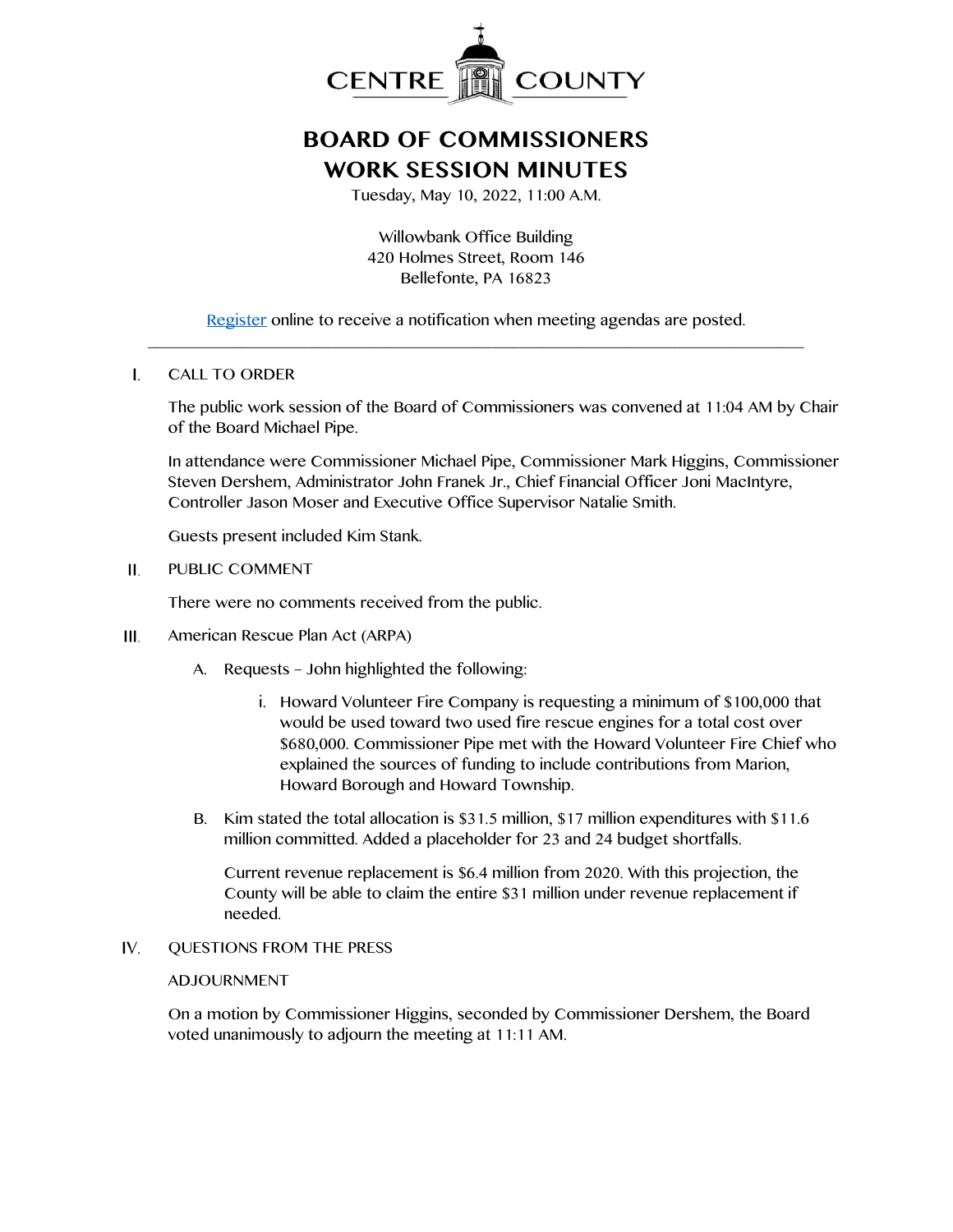

# **BOARD OF COMMISSIONERS WORK SESSION MINUTES**

Tuesday, May 10, 2022, 11:00 A.M.

Willowbank Office Building 420 Holmes Street, Room 146 Bellefonte, PA 16823

[Register](http://www.centrecountypa.gov/AgendaCenter) online to receive a notification when meeting agendas are posted. \_\_\_\_\_\_\_\_\_\_\_\_\_\_\_\_\_\_\_\_\_\_\_\_\_\_\_\_\_\_\_\_\_\_\_\_\_\_\_\_\_\_\_\_\_\_\_\_\_\_\_\_\_\_\_\_\_\_\_\_\_\_\_\_\_\_\_\_\_\_\_\_\_\_\_\_\_\_

#### $\mathbf{I}$ . CALL TO ORDER

The public work session of the Board of Commissioners was convened at 11:04 AM by Chair of the Board Michael Pipe.

In attendance were Commissioner Michael Pipe, Commissioner Mark Higgins, Commissioner Steven Dershem, Administrator John Franek Jr., Chief Financial Officer Joni MacIntyre, Controller Jason Moser and Executive Office Supervisor Natalie Smith.

Guests present included Kim Stank.

#### Н. PUBLIC COMMENT

There were no comments received from the public.

- $III.$ American Rescue Plan Act (ARPA)
	- A. Requests John highlighted the following:
		- i. Howard Volunteer Fire Company is requesting a minimum of \$100,000 that would be used toward two used fire rescue engines for a total cost over \$680,000. Commissioner Pipe met with the Howard Volunteer Fire Chief who explained the sources of funding to include contributions from Marion, Howard Borough and Howard Township.
	- B. Kim stated the total allocation is \$31.5 million, \$17 million expenditures with \$11.6 million committed. Added a placeholder for 23 and 24 budget shortfalls.

Current revenue replacement is \$6.4 million from 2020. With this projection, the County will be able to claim the entire \$31 million under revenue replacement if needed.

IV. QUESTIONS FROM THE PRESS

### ADJOURNMENT

On a motion by Commissioner Higgins, seconded by Commissioner Dershem, the Board voted unanimously to adjourn the meeting at 11:11 AM.